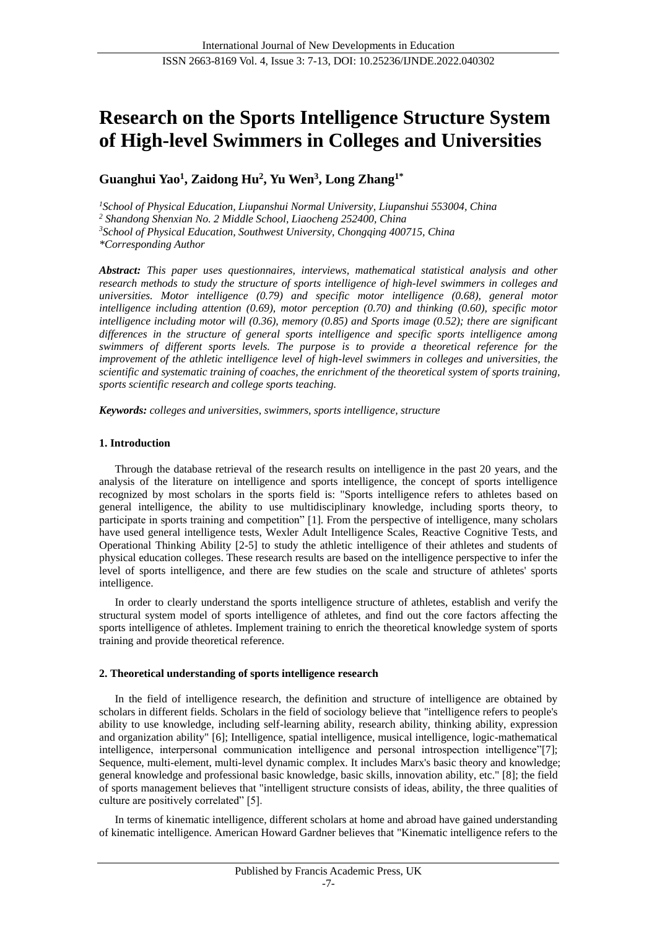# **Research on the Sports Intelligence Structure System of High-level Swimmers in Colleges and Universities**

**Guanghui Yao<sup>1</sup> , Zaidong Hu<sup>2</sup> , Yu Wen<sup>3</sup> , Long Zhang1\***

*<sup>1</sup>School of Physical Education, Liupanshui Normal University, Liupanshui 553004, China <sup>2</sup> Shandong Shenxian No. 2 Middle School, Liaocheng 252400, China*

*<sup>3</sup>School of Physical Education, Southwest University, Chongqing 400715, China*

*\*Corresponding Author*

*Abstract: This paper uses questionnaires, interviews, mathematical statistical analysis and other research methods to study the structure of sports intelligence of high-level swimmers in colleges and universities. Motor intelligence (0.79) and specific motor intelligence (0.68), general motor intelligence including attention (0.69), motor perception (0.70) and thinking (0.60), specific motor intelligence including motor will (0.36), memory (0.85) and Sports image (0.52); there are significant differences in the structure of general sports intelligence and specific sports intelligence among swimmers of different sports levels. The purpose is to provide a theoretical reference for the improvement of the athletic intelligence level of high-level swimmers in colleges and universities, the scientific and systematic training of coaches, the enrichment of the theoretical system of sports training, sports scientific research and college sports teaching.*

*Keywords: colleges and universities, swimmers, sports intelligence, structure*

## **1. Introduction**

Through the database retrieval of the research results on intelligence in the past 20 years, and the analysis of the literature on intelligence and sports intelligence, the concept of sports intelligence recognized by most scholars in the sports field is: "Sports intelligence refers to athletes based on general intelligence, the ability to use multidisciplinary knowledge, including sports theory, to participate in sports training and competition" [1]. From the perspective of intelligence, many scholars have used general intelligence tests, Wexler Adult Intelligence Scales, Reactive Cognitive Tests, and Operational Thinking Ability [2-5] to study the athletic intelligence of their athletes and students of physical education colleges. These research results are based on the intelligence perspective to infer the level of sports intelligence, and there are few studies on the scale and structure of athletes' sports intelligence.

In order to clearly understand the sports intelligence structure of athletes, establish and verify the structural system model of sports intelligence of athletes, and find out the core factors affecting the sports intelligence of athletes. Implement training to enrich the theoretical knowledge system of sports training and provide theoretical reference.

## **2. Theoretical understanding of sports intelligence research**

In the field of intelligence research, the definition and structure of intelligence are obtained by scholars in different fields. Scholars in the field of sociology believe that "intelligence refers to people's ability to use knowledge, including self-learning ability, research ability, thinking ability, expression and organization ability" [6]; Intelligence, spatial intelligence, musical intelligence, logic-mathematical intelligence, interpersonal communication intelligence and personal introspection intelligence"[7]; Sequence, multi-element, multi-level dynamic complex. It includes Marx's basic theory and knowledge; general knowledge and professional basic knowledge, basic skills, innovation ability, etc." [8]; the field of sports management believes that "intelligent structure consists of ideas, ability, the three qualities of culture are positively correlated" [5].

In terms of kinematic intelligence, different scholars at home and abroad have gained understanding of kinematic intelligence. American Howard Gardner believes that "Kinematic intelligence refers to the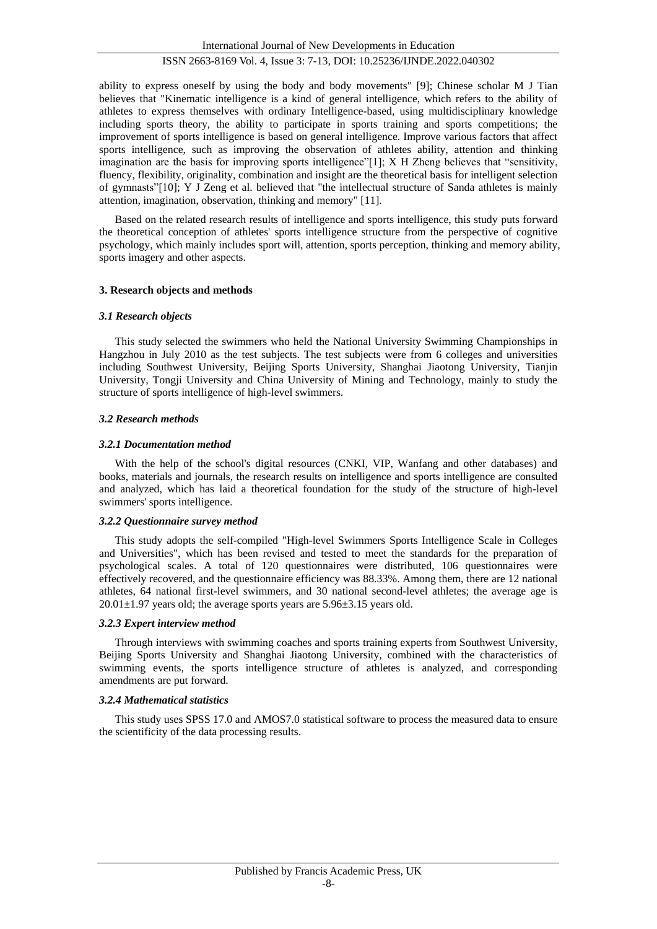International Journal of New Developments in Education

# ISSN 2663-8169 Vol. 4, Issue 3: 7-13, DOI: 10.25236/IJNDE.2022.040302

ability to express oneself by using the body and body movements" [9]; Chinese scholar M J Tian believes that "Kinematic intelligence is a kind of general intelligence, which refers to the ability of athletes to express themselves with ordinary Intelligence-based, using multidisciplinary knowledge including sports theory, the ability to participate in sports training and sports competitions; the improvement of sports intelligence is based on general intelligence. Improve various factors that affect sports intelligence, such as improving the observation of athletes ability, attention and thinking imagination are the basis for improving sports intelligence"[1]; X H Zheng believes that "sensitivity, fluency, flexibility, originality, combination and insight are the theoretical basis for intelligent selection of gymnasts"[10]; Y J Zeng et al. believed that "the intellectual structure of Sanda athletes is mainly attention, imagination, observation, thinking and memory" [11].

Based on the related research results of intelligence and sports intelligence, this study puts forward the theoretical conception of athletes' sports intelligence structure from the perspective of cognitive psychology, which mainly includes sport will, attention, sports perception, thinking and memory ability, sports imagery and other aspects.

## **3. Research objects and methods**

## *3.1 Research objects*

This study selected the swimmers who held the National University Swimming Championships in Hangzhou in July 2010 as the test subjects. The test subjects were from 6 colleges and universities including Southwest University, Beijing Sports University, Shanghai Jiaotong University, Tianjin University, Tongji University and China University of Mining and Technology, mainly to study the structure of sports intelligence of high-level swimmers.

## *3.2 Research methods*

## *3.2.1 Documentation method*

With the help of the school's digital resources (CNKI, VIP, Wanfang and other databases) and books, materials and journals, the research results on intelligence and sports intelligence are consulted and analyzed, which has laid a theoretical foundation for the study of the structure of high-level swimmers' sports intelligence.

#### *3.2.2 Questionnaire survey method*

This study adopts the self-compiled "High-level Swimmers Sports Intelligence Scale in Colleges and Universities", which has been revised and tested to meet the standards for the preparation of psychological scales. A total of 120 questionnaires were distributed, 106 questionnaires were effectively recovered, and the questionnaire efficiency was 88.33%. Among them, there are 12 national athletes, 64 national first-level swimmers, and 30 national second-level athletes; the average age is  $20.01 \pm 1.97$  years old; the average sports years are  $5.96 \pm 3.15$  years old.

#### *3.2.3 Expert interview method*

Through interviews with swimming coaches and sports training experts from Southwest University, Beijing Sports University and Shanghai Jiaotong University, combined with the characteristics of swimming events, the sports intelligence structure of athletes is analyzed, and corresponding amendments are put forward.

## *3.2.4 Mathematical statistics*

This study uses SPSS 17.0 and AMOS7.0 statistical software to process the measured data to ensure the scientificity of the data processing results.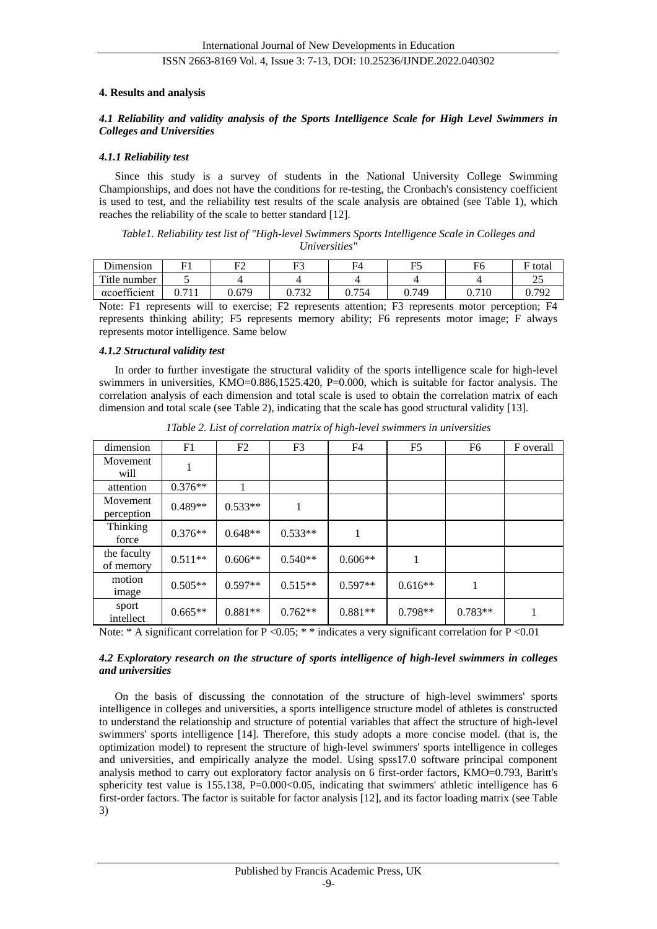#### **4. Results and analysis**

## *4.1 Reliability and validity analysis of the Sports Intelligence Scale for High Level Swimmers in Colleges and Universities*

#### *4.1.1 Reliability test*

Since this study is a survey of students in the National University College Swimming Championships, and does not have the conditions for re-testing, the Cronbach's consistency coefficient is used to test, and the reliability test results of the scale analysis are obtained (see Table 1), which reaches the reliability of the scale to better standard [12].

*Table1. Reliability test list of "High-level Swimmers Sports Intelligence Scale in Colleges and Universities"*

| ∽.<br>Dimension  | П1                 | ᠇     | F3<br>ຼ        | −.<br>HΔ                     | $\mathbf{r}$ | ┳.<br>۲Ó       | $\overline{\phantom{0}}$<br>total |
|------------------|--------------------|-------|----------------|------------------------------|--------------|----------------|-----------------------------------|
| Title.<br>number | ັ                  |       |                |                              |              |                | ت                                 |
| acoefficient     | $-11$<br>◡.<br>. . | 0.679 | 722<br>0. I JZ | 75 <sub>0</sub><br>74<br>ר - | .749<br>◡. ៸ | 10<br>−<br>∪.7 | 792<br>V. 1 J 4                   |

Note: F1 represents will to exercise; F2 represents attention; F3 represents motor perception; F4 represents thinking ability; F5 represents memory ability; F6 represents motor image; F always represents motor intelligence. Same below

## *4.1.2 Structural validity test*

In order to further investigate the structural validity of the sports intelligence scale for high-level swimmers in universities, KMO=0.886,1525.420, P=0.000, which is suitable for factor analysis. The correlation analysis of each dimension and total scale is used to obtain the correlation matrix of each dimension and total scale (see Table 2), indicating that the scale has good structural validity [13].

| dimension                | F1        | F <sub>2</sub> | F <sub>3</sub> | F4        | F5        | F <sub>6</sub> | F overall |
|--------------------------|-----------|----------------|----------------|-----------|-----------|----------------|-----------|
| Movement<br>will         |           |                |                |           |           |                |           |
| attention                | $0.376**$ |                |                |           |           |                |           |
| Movement<br>perception   | $0.489**$ | $0.533**$      | 1              |           |           |                |           |
| Thinking<br>force        | $0.376**$ | $0.648**$      | $0.533**$      | 1         |           |                |           |
| the faculty<br>of memory | $0.511**$ | $0.606**$      | $0.540**$      | $0.606**$ | 1         |                |           |
| motion<br>image          | $0.505**$ | $0.597**$      | $0.515**$      | $0.597**$ | $0.616**$ | 1              |           |
| sport<br>intellect       | $0.665**$ | $0.881**$      | $0.762**$      | $0.881**$ | $0.798**$ | $0.783**$      | 1         |

*1Table 2. List of correlation matrix of high-level swimmers in universities*

Note: \* A significant correlation for P <0.05; \* \* indicates a very significant correlation for P <0.01

## *4.2 Exploratory research on the structure of sports intelligence of high-level swimmers in colleges and universities*

On the basis of discussing the connotation of the structure of high-level swimmers' sports intelligence in colleges and universities, a sports intelligence structure model of athletes is constructed to understand the relationship and structure of potential variables that affect the structure of high-level swimmers' sports intelligence [14]. Therefore, this study adopts a more concise model. (that is, the optimization model) to represent the structure of high-level swimmers' sports intelligence in colleges and universities, and empirically analyze the model. Using spss17.0 software principal component analysis method to carry out exploratory factor analysis on 6 first-order factors, KMO=0.793, Baritt's sphericity test value is  $155.138$ ,  $P=0.000<0.05$ , indicating that swimmers' athletic intelligence has 6 first-order factors. The factor is suitable for factor analysis [12], and its factor loading matrix (see Table 3)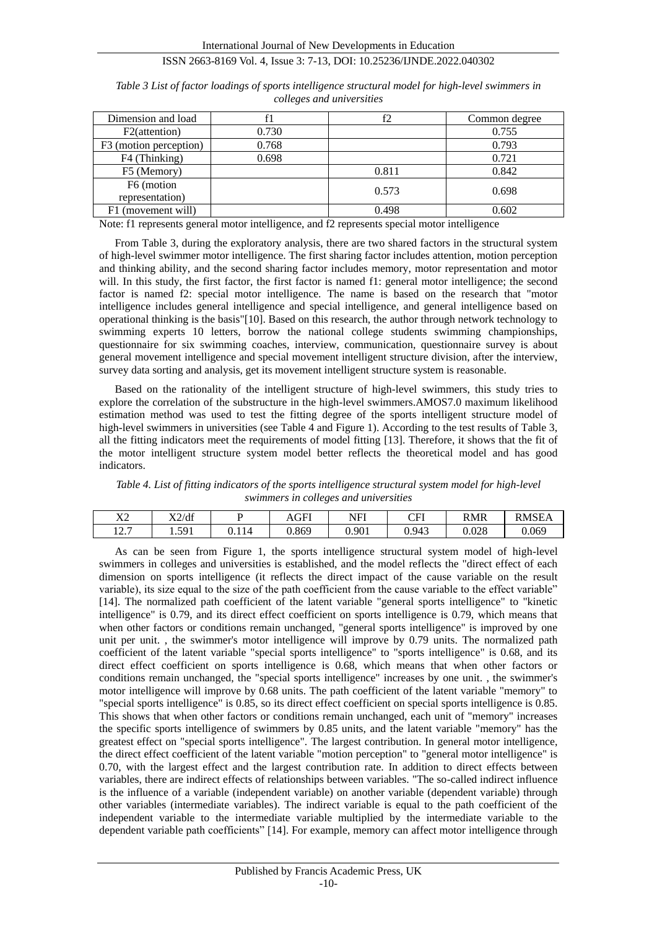| Dimension and load     |       | f2    | Common degree |
|------------------------|-------|-------|---------------|
| F2(attention)          | 0.730 |       | 0.755         |
| F3 (motion perception) | 0.768 |       | 0.793         |
| F4 (Thinking)          | 0.698 |       | 0.721         |
| F5 (Memory)            |       | 0.811 | 0.842         |
| F6 (motion             |       | 0.573 | 0.698         |
| representation)        |       |       |               |
| F1 (movement will)     |       | 0.498 | 0.602         |

*Table 3 List of factor loadings of sports intelligence structural model for high-level swimmers in colleges and universities*

Note: f1 represents general motor intelligence, and f2 represents special motor intelligence

From Table 3, during the exploratory analysis, there are two shared factors in the structural system of high-level swimmer motor intelligence. The first sharing factor includes attention, motion perception and thinking ability, and the second sharing factor includes memory, motor representation and motor will. In this study, the first factor, the first factor is named f1: general motor intelligence; the second factor is named f2: special motor intelligence. The name is based on the research that "motor intelligence includes general intelligence and special intelligence, and general intelligence based on operational thinking is the basis"[10]. Based on this research, the author through network technology to swimming experts 10 letters, borrow the national college students swimming championships, questionnaire for six swimming coaches, interview, communication, questionnaire survey is about general movement intelligence and special movement intelligent structure division, after the interview, survey data sorting and analysis, get its movement intelligent structure system is reasonable.

Based on the rationality of the intelligent structure of high-level swimmers, this study tries to explore the correlation of the substructure in the high-level swimmers.AMOS7.0 maximum likelihood estimation method was used to test the fitting degree of the sports intelligent structure model of high-level swimmers in universities (see Table 4 and Figure 1). According to the test results of Table 3, all the fitting indicators meet the requirements of model fitting [13]. Therefore, it shows that the fit of the motor intelligent structure system model better reflects the theoretical model and has good indicators.

*Table 4. List of fitting indicators of the sports intelligence structural system model for high-level swimmers in colleges and universities*

| $\mathbf{v}$<br>△                       | X2/df        |      | AGFI  | NFI   | $\cap$ FI<br>u i | <b>RMR</b>     | <b>DMSE</b><br>4SEA |
|-----------------------------------------|--------------|------|-------|-------|------------------|----------------|---------------------|
| $\sim$ $\sim$<br>$1 \overline{2} \cdot$ | 501<br>1.J/1 | J.11 | J.869 | 0.901 | 0.943<br>◡.৴     | n noo<br>∪.∪∠o | 0.069               |

As can be seen from Figure 1, the sports intelligence structural system model of high-level swimmers in colleges and universities is established, and the model reflects the "direct effect of each dimension on sports intelligence (it reflects the direct impact of the cause variable on the result variable), its size equal to the size of the path coefficient from the cause variable to the effect variable" [14]. The normalized path coefficient of the latent variable "general sports intelligence" to "kinetic intelligence" is 0.79, and its direct effect coefficient on sports intelligence is 0.79, which means that when other factors or conditions remain unchanged, "general sports intelligence" is improved by one unit per unit. , the swimmer's motor intelligence will improve by 0.79 units. The normalized path coefficient of the latent variable "special sports intelligence" to "sports intelligence" is 0.68, and its direct effect coefficient on sports intelligence is 0.68, which means that when other factors or conditions remain unchanged, the "special sports intelligence" increases by one unit. , the swimmer's motor intelligence will improve by 0.68 units. The path coefficient of the latent variable "memory" to "special sports intelligence" is 0.85, so its direct effect coefficient on special sports intelligence is 0.85. This shows that when other factors or conditions remain unchanged, each unit of "memory" increases the specific sports intelligence of swimmers by 0.85 units, and the latent variable "memory" has the greatest effect on "special sports intelligence". The largest contribution. In general motor intelligence, the direct effect coefficient of the latent variable "motion perception" to "general motor intelligence" is 0.70, with the largest effect and the largest contribution rate. In addition to direct effects between variables, there are indirect effects of relationships between variables. "The so-called indirect influence is the influence of a variable (independent variable) on another variable (dependent variable) through other variables (intermediate variables). The indirect variable is equal to the path coefficient of the independent variable to the intermediate variable multiplied by the intermediate variable to the dependent variable path coefficients" [14]. For example, memory can affect motor intelligence through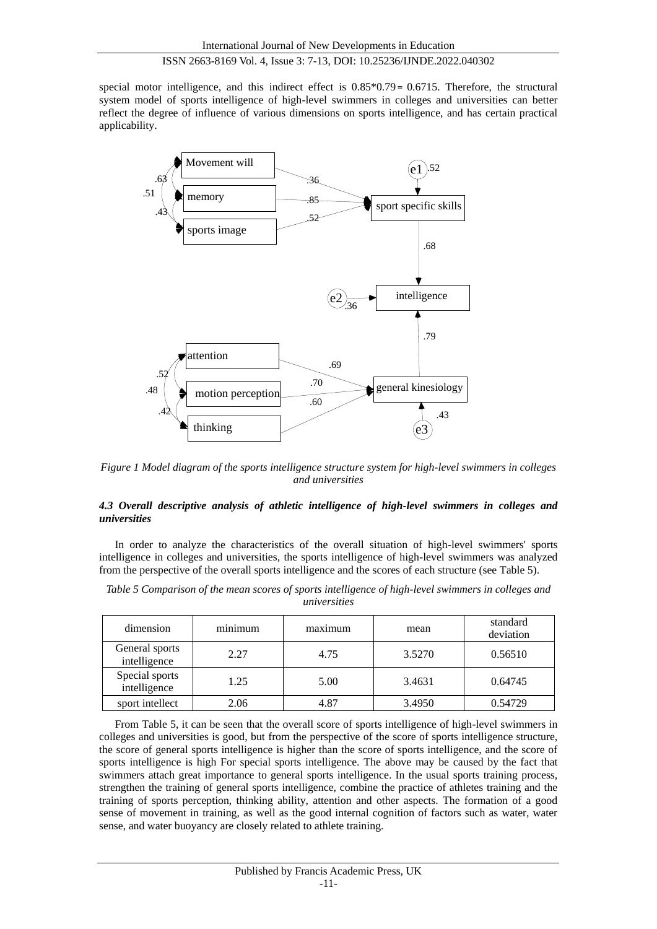special motor intelligence, and this indirect effect is  $0.85*0.79 = 0.6715$ . Therefore, the structural system model of sports intelligence of high-level swimmers in colleges and universities can better reflect the degree of influence of various dimensions on sports intelligence, and has certain practical applicability.



*Figure 1 Model diagram of the sports intelligence structure system for high-level swimmers in colleges and universities*

## *4.3 Overall descriptive analysis of athletic intelligence of high-level swimmers in colleges and universities*

In order to analyze the characteristics of the overall situation of high-level swimmers' sports intelligence in colleges and universities, the sports intelligence of high-level swimmers was analyzed from the perspective of the overall sports intelligence and the scores of each structure (see Table 5).

| Table 5 Comparison of the mean scores of sports intelligence of high-level swimmers in colleges and |              |  |  |
|-----------------------------------------------------------------------------------------------------|--------------|--|--|
|                                                                                                     | universities |  |  |

| dimension                      | $\cdot$ $\cdot$<br>minimum | maximum | mean   | standard<br>deviation |
|--------------------------------|----------------------------|---------|--------|-----------------------|
| General sports<br>intelligence | 2.27                       | 4.75    | 3.5270 | 0.56510               |
| Special sports<br>intelligence | 1.25                       | 5.00    | 3.4631 | 0.64745               |
| sport intellect                | 2.06                       | 4.87    | 3.4950 | 0.54729               |

From Table 5, it can be seen that the overall score of sports intelligence of high-level swimmers in colleges and universities is good, but from the perspective of the score of sports intelligence structure, the score of general sports intelligence is higher than the score of sports intelligence, and the score of sports intelligence is high For special sports intelligence. The above may be caused by the fact that swimmers attach great importance to general sports intelligence. In the usual sports training process, strengthen the training of general sports intelligence, combine the practice of athletes training and the training of sports perception, thinking ability, attention and other aspects. The formation of a good sense of movement in training, as well as the good internal cognition of factors such as water, water sense, and water buoyancy are closely related to athlete training.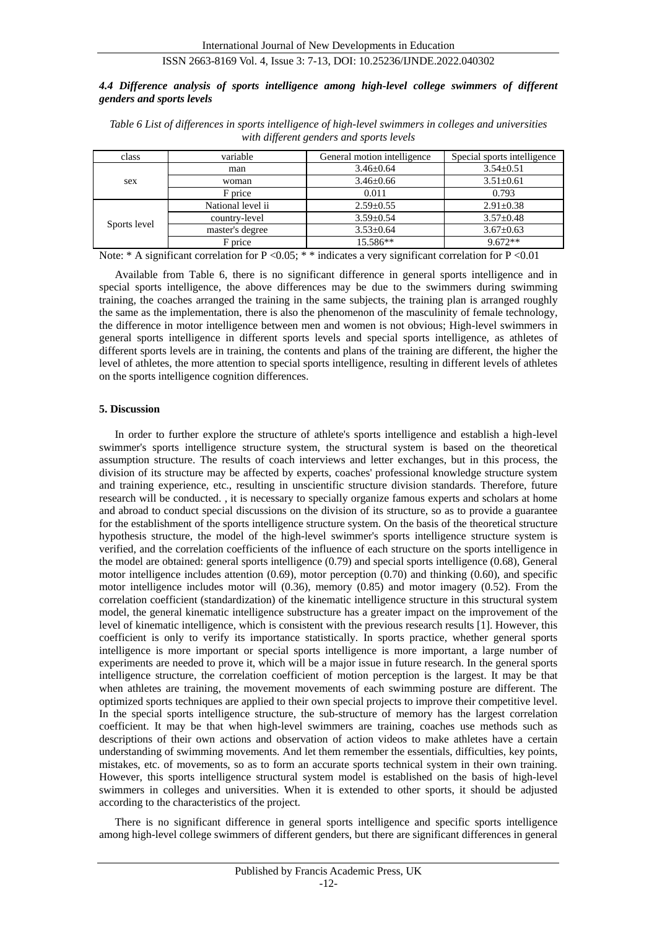## *4.4 Difference analysis of sports intelligence among high-level college swimmers of different genders and sports levels*

| class        | variable          | General motion intelligence | Special sports intelligence |  |
|--------------|-------------------|-----------------------------|-----------------------------|--|
|              | man               | $3.46 \pm 0.64$             | $3.54 \pm 0.51$             |  |
| sex          | woman             | $3.46 \pm 0.66$             | $3.51 + 0.61$               |  |
|              | F price           | 0.011                       | 0.793                       |  |
| Sports level | National level ii | $2.59 + 0.55$               | $2.91 + 0.38$               |  |
|              | country-level     | $3.59 + 0.54$               | $3.57 + 0.48$               |  |
|              | master's degree   | $3.53 \pm 0.64$             | $3.67 + 0.63$               |  |
|              | F price           | 15.586**                    | $9.672**$                   |  |

*Table 6 List of differences in sports intelligence of high-level swimmers in colleges and universities with different genders and sports levels*

Note: \* A significant correlation for P < 0.05; \* \* indicates a very significant correlation for P < 0.01

Available from Table 6, there is no significant difference in general sports intelligence and in special sports intelligence, the above differences may be due to the swimmers during swimming training, the coaches arranged the training in the same subjects, the training plan is arranged roughly the same as the implementation, there is also the phenomenon of the masculinity of female technology, the difference in motor intelligence between men and women is not obvious; High-level swimmers in general sports intelligence in different sports levels and special sports intelligence, as athletes of different sports levels are in training, the contents and plans of the training are different, the higher the level of athletes, the more attention to special sports intelligence, resulting in different levels of athletes on the sports intelligence cognition differences.

## **5. Discussion**

In order to further explore the structure of athlete's sports intelligence and establish a high-level swimmer's sports intelligence structure system, the structural system is based on the theoretical assumption structure. The results of coach interviews and letter exchanges, but in this process, the division of its structure may be affected by experts, coaches' professional knowledge structure system and training experience, etc., resulting in unscientific structure division standards. Therefore, future research will be conducted. , it is necessary to specially organize famous experts and scholars at home and abroad to conduct special discussions on the division of its structure, so as to provide a guarantee for the establishment of the sports intelligence structure system. On the basis of the theoretical structure hypothesis structure, the model of the high-level swimmer's sports intelligence structure system is verified, and the correlation coefficients of the influence of each structure on the sports intelligence in the model are obtained: general sports intelligence (0.79) and special sports intelligence (0.68), General motor intelligence includes attention (0.69), motor perception (0.70) and thinking (0.60), and specific motor intelligence includes motor will (0.36), memory (0.85) and motor imagery (0.52). From the correlation coefficient (standardization) of the kinematic intelligence structure in this structural system model, the general kinematic intelligence substructure has a greater impact on the improvement of the level of kinematic intelligence, which is consistent with the previous research results [1]. However, this coefficient is only to verify its importance statistically. In sports practice, whether general sports intelligence is more important or special sports intelligence is more important, a large number of experiments are needed to prove it, which will be a major issue in future research. In the general sports intelligence structure, the correlation coefficient of motion perception is the largest. It may be that when athletes are training, the movement movements of each swimming posture are different. The optimized sports techniques are applied to their own special projects to improve their competitive level. In the special sports intelligence structure, the sub-structure of memory has the largest correlation coefficient. It may be that when high-level swimmers are training, coaches use methods such as descriptions of their own actions and observation of action videos to make athletes have a certain understanding of swimming movements. And let them remember the essentials, difficulties, key points, mistakes, etc. of movements, so as to form an accurate sports technical system in their own training. However, this sports intelligence structural system model is established on the basis of high-level swimmers in colleges and universities. When it is extended to other sports, it should be adjusted according to the characteristics of the project.

There is no significant difference in general sports intelligence and specific sports intelligence among high-level college swimmers of different genders, but there are significant differences in general